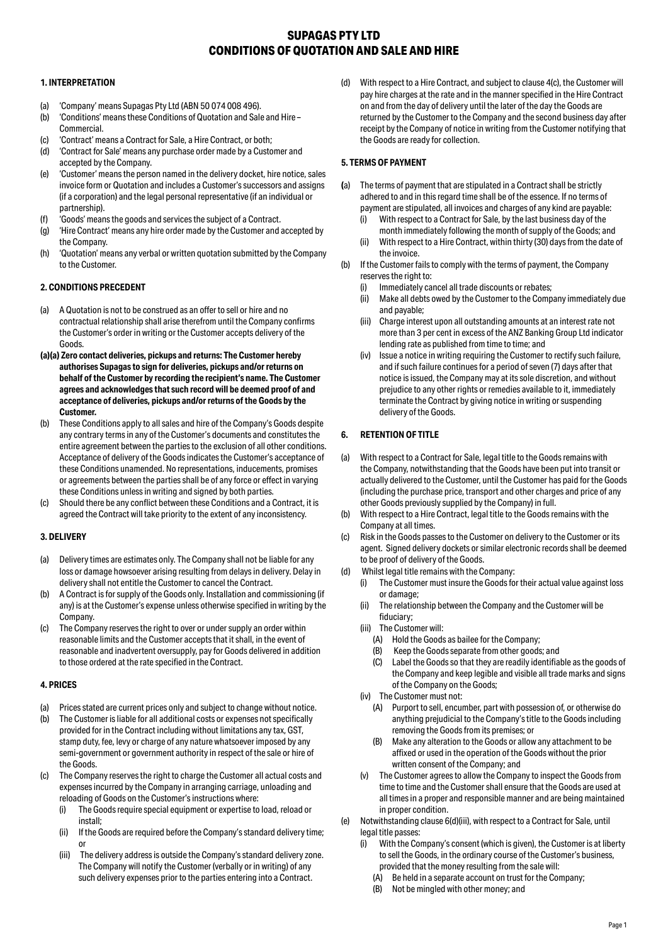# **SUPAGAS PTY LTD CONDITIONS OF QUOTATION AND SALE AND HIRE**

# **1. INTERPRETATION**

- (a) 'Company' means Supagas Pty Ltd (ABN 50 074 008 496).
- (b) 'Conditions' means these Conditions of Quotation and Sale and Hire Commercial.
- (c) 'Contract' means a Contract for Sale, a Hire Contract, or both;
- (d) 'Contract for Sale' means any purchase order made by a Customer and accepted by the Company.
- (e) 'Customer' means the person named in the delivery docket, hire notice, sales invoice form or Quotation and includes a Customer's successors and assigns (if a corporation) and the legal personal representative (if an individual or partnership).
- (f) 'Goods' means the goods and services the subject of a Contract.
- (g) 'Hire Contract' means any hire order made by the Customer and accepted by the Company.
- (h) 'Quotation' means any verbal or written quotation submitted by the Company to the Customer.

# **2. CONDITIONS PRECEDENT**

- (a) A Quotation is not to be construed as an offer to sell or hire and no contractual relationship shall arise therefrom until the Company confirms the Customer's order in writing or the Customer accepts delivery of the Goods.
- **(a)(a) Zero contact deliveries, pickups and returns: The Customer hereby authorises Supagas to sign for deliveries, pickups and/or returns on behalf of the Customer by recording the recipient's name. The Customer agrees and acknowledges that such record will be deemed proof of and acceptance of deliveries, pickups and/or returns of the Goods by the Customer.**
- (b) These Conditions apply to all sales and hire of the Company's Goods despite any contrary terms in any of the Customer's documents and constitutes the entire agreement between the parties to the exclusion of all other conditions. Acceptance of delivery of the Goods indicates the Customer's acceptance of these Conditions unamended. No representations, inducements, promises or agreements between the parties shall be of any force or effect in varying these Conditions unless in writing and signed by both parties.
- (c) Should there be any conflict between these Conditions and a Contract, it is agreed the Contract will take priority to the extent of any inconsistency.

## **3. DELIVERY**

- Delivery times are estimates only. The Company shall not be liable for any loss or damage howsoever arising resulting from delays in delivery. Delay in delivery shall not entitle the Customer to cancel the Contract.
- (b) A Contract is for supply of the Goods only. Installation and commissioning (if any) is at the Customer's expense unless otherwise specified in writing by the Company.
- (c) The Company reserves the right to over or under supply an order within reasonable limits and the Customer accepts that it shall, in the event of reasonable and inadvertent oversupply, pay for Goods delivered in addition to those ordered at the rate specified in the Contract.

## **4. PRICES**

- (a) Prices stated are current prices only and subject to change without notice.
- (b) The Customer is liable for all additional costs or expenses not specifically provided for in the Contract including without limitations any tax, GST, stamp duty, fee, levy or charge of any nature whatsoever imposed by any semi-government or government authority in respect of the sale or hire of the Goods.
- (c) The Company reserves the right to charge the Customer all actual costs and expenses incurred by the Company in arranging carriage, unloading and reloading of Goods on the Customer's instructions where:
	- (i) The Goods require special equipment or expertise to load, reload or install;
	- (ii) If the Goods are required before the Company's standard delivery time; or
	- (iii) The delivery address is outside the Company's standard delivery zone. The Company will notify the Customer (verbally or in writing) of any such delivery expenses prior to the parties entering into a Contract.

(d) With respect to a Hire Contract, and subject to clause 4(c), the Customer will pay hire charges at the rate and in the manner specified in the Hire Contract on and from the day of delivery until the later of the day the Goods are returned by the Customer to the Company and the second business day after receipt by the Company of notice in writing from the Customer notifying that the Goods are ready for collection.

# **5. TERMS OF PAYMENT**

- **(**a) The terms of payment that are stipulated in a Contract shall be strictly adhered to and in this regard time shall be of the essence. If no terms of payment are stipulated, all invoices and charges of any kind are payable:
	- (i) With respect to a Contract for Sale, by the last business day of the month immediately following the month of supply of the Goods; and
	- (ii) With respect to a Hire Contract, within thirty (30) days from the date of the invoice.
- (b) If the Customer fails to comply with the terms of payment, the Company reserves the right to:
	- (i) Immediately cancel all trade discounts or rebates;
	- (ii) Make all debts owed by the Customer to the Company immediately due and payable;
	- (iii) Charge interest upon all outstanding amounts at an interest rate not more than 3 per cent in excess of the ANZ Banking Group Ltd indicator lending rate as published from time to time; and
	- (iv) Issue a notice in writing requiring the Customer to rectify such failure, and if such failure continues for a period of seven (7) days after that notice is issued, the Company may at its sole discretion, and without prejudice to any other rights or remedies available to it, immediately terminate the Contract by giving notice in writing or suspending delivery of the Goods.

# **6. RETENTION OF TITLE**

- (a) With respect to a Contract for Sale, legal title to the Goods remains with the Company, notwithstanding that the Goods have been put into transit or actually delivered to the Customer, until the Customer has paid for the Goods (including the purchase price, transport and other charges and price of any other Goods previously supplied by the Company) in full.
- (b) With respect to a Hire Contract, legal title to the Goods remains with the Company at all times.
- (c) Risk in the Goods passes to the Customer on delivery to the Customer or its agent. Signed delivery dockets or similar electronic records shall be deemed to be proof of delivery of the Goods.
- (d) Whilst legal title remains with the Company:
	- (i) The Customer must insure the Goods for their actual value against loss or damage;
	- (ii) The relationship between the Company and the Customer will be fiduciary;
	- (iii) The Customer will:
		- (A) Hold the Goods as bailee for the Company;
		- (B) Keep the Goods separate from other goods; and
		- (C) Label the Goods so that they are readily identifiable as the goods of the Company and keep legible and visible all trade marks and signs of the Company on the Goods;
	- (iv) The Customer must not:
		- (A) Purport to sell, encumber, part with possession of, or otherwise do anything prejudicial to the Company's title to the Goods including removing the Goods from its premises; or
		- (B) Make any alteration to the Goods or allow any attachment to be affixed or used in the operation of the Goods without the prior written consent of the Company; and
	- (v) The Customer agrees to allow the Company to inspect the Goods from time to time and the Customer shall ensure that the Goods are used at all times in a proper and responsible manner and are being maintained in proper condition.
- (e) Notwithstanding clause 6(d)(iii), with respect to a Contract for Sale, until legal title passes:
	- With the Company's consent (which is given), the Customer is at liberty to sell the Goods, in the ordinary course of the Customer's business, provided that the money resulting from the sale will:
		- (A) Be held in a separate account on trust for the Company;
	- (B) Not be mingled with other money; and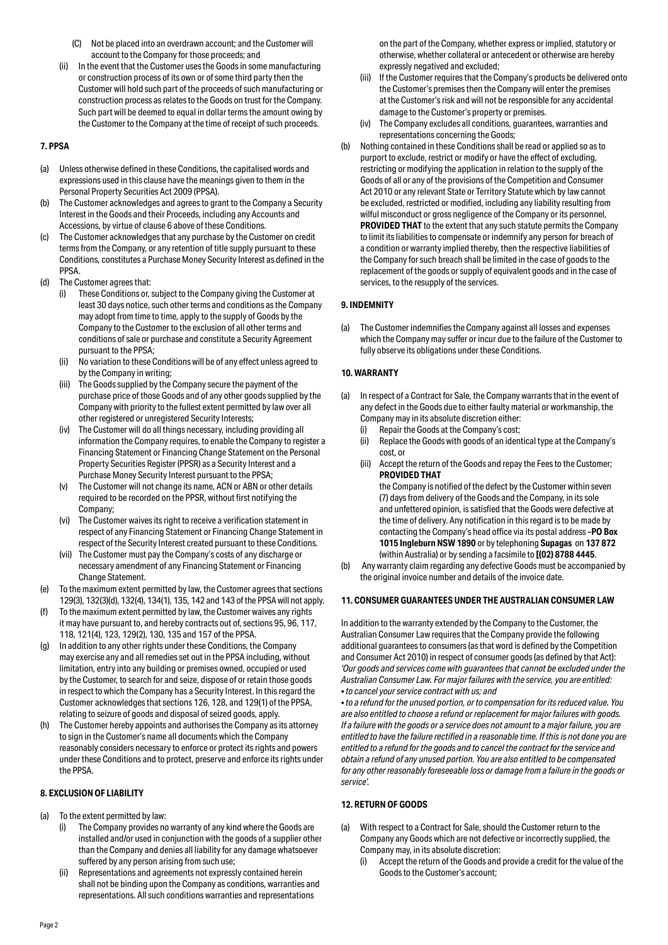- (C) Not be placed into an overdrawn account; and the Customer will account to the Company for those proceeds; and
- (ii) In the event that the Customer uses the Goods in some manufacturing or construction process of its own or of some third party then the Customer will hold such part of the proceeds of such manufacturing or construction process as relates to the Goods on trust for the Company. Such part will be deemed to equal in dollar terms the amount owing by the Customer to the Company at the time of receipt of such proceeds.

## **7. PPSA**

- (a) Unless otherwise defined in these Conditions, the capitalised words and expressions used in this clause have the meanings given to them in the Personal Property Securities Act 2009 (PPSA).
- (b) The Customer acknowledges and agrees to grant to the Company a Security Interest in the Goods and their Proceeds, including any Accounts and Accessions, by virtue of clause 6 above of these Conditions.
- (c) The Customer acknowledges that any purchase by the Customer on credit terms from the Company, or any retention of title supply pursuant to these Conditions, constitutes a Purchase Money Security Interest as defined in the PPSA.
- (d) The Customer agrees that:
	- (i) These Conditions or, subject to the Company giving the Customer at least 30 days notice, such other terms and conditions as the Company may adopt from time to time, apply to the supply of Goods by the Company to the Customer to the exclusion of all other terms and conditions of sale or purchase and constitute a Security Agreement pursuant to the PPSA;
	- (ii) No variation to these Conditions will be of any effect unless agreed to by the Company in writing;
	- (iii) The Goods supplied by the Company secure the payment of the purchase price of those Goods and of any other goods supplied by the Company with priority to the fullest extent permitted by law over all other registered or unregistered Security Interests;
	- (iv) The Customer will do all things necessary, including providing all information the Company requires, to enable the Company to register a Financing Statement or Financing Change Statement on the Personal Property Securities Register (PPSR) as a Security Interest and a Purchase Money Security Interest pursuant to the PPSA;
	- (v) The Customer will not change its name, ACN or ABN or other details required to be recorded on the PPSR, without first notifying the Company;
	- (vi) The Customer waives its right to receive a verification statement in respect of any Financing Statement or Financing Change Statement in respect of the Security Interest created pursuant to these Conditions.
	- (vii) The Customer must pay the Company's costs of any discharge or necessary amendment of any Financing Statement or Financing Change Statement.
- (e) To the maximum extent permitted by law, the Customer agrees that sections 129(3), 132(3)(d), 132(4), 134(1), 135, 142 and 143 of the PPSA will not apply.
- (f) To the maximum extent permitted by law, the Customer waives any rights it may have pursuant to, and hereby contracts out of, sections 95, 96, 117, 118, 121(4), 123, 129(2), 130, 135 and 157 of the PPSA.
- (g) In addition to any other rights under these Conditions, the Company may exercise any and all remedies set out in the PPSA including, without limitation, entry into any building or premises owned, occupied or used by the Customer, to search for and seize, dispose of or retain those goods in respect to which the Company has a Security Interest. In this regard the Customer acknowledges that sections 126, 128, and 129(1) of the PPSA, relating to seizure of goods and disposal of seized goods, apply.
- (h) The Customer hereby appoints and authorises the Company as its attorney to sign in the Customer's name all documents which the Company reasonably considers necessary to enforce or protect its rights and powers under these Conditions and to protect, preserve and enforce its rights under the PPSA.

## **8. EXCLUSION OF LIABILITY**

- (a) To the extent permitted by law:
	- The Company provides no warranty of any kind where the Goods are installed and/or used in conjunction with the goods of a supplier other than the Company and denies all liability for any damage whatsoever suffered by any person arising from such use;
	- (ii) Representations and agreements not expressly contained herein shall not be binding upon the Company as conditions, warranties and representations. All such conditions warranties and representations

on the part of the Company, whether express or implied, statutory or otherwise, whether collateral or antecedent or otherwise are hereby expressly negatived and excluded;

- (iii) If the Customer requires that the Company's products be delivered onto the Customer's premises then the Company will enter the premises at the Customer's risk and will not be responsible for any accidental damage to the Customer's property or premises.
- (iv) The Company excludes all conditions, guarantees, warranties and representations concerning the Goods;
- (b) Nothing contained in these Conditions shall be read or applied so as to purport to exclude, restrict or modify or have the effect of excluding, restricting or modifying the application in relation to the supply of the Goods of all or any of the provisions of the Competition and Consumer Act 2010 or any relevant State or Territory Statute which by law cannot be excluded, restricted or modified, including any liability resulting from wilful misconduct or gross negligence of the Company or its personnel, **PROVIDED THAT** to the extent that any such statute permits the Company to limit its liabilities to compensate or indemnify any person for breach of a condition or warranty implied thereby, then the respective liabilities of the Company for such breach shall be limited in the case of goods to the replacement of the goods or supply of equivalent goods and in the case of services, to the resupply of the services.

## **9. INDEMNITY**

(a) The Customer indemnifies the Company against all losses and expenses which the Company may suffer or incur due to the failure of the Customer to fully observe its obligations under these Conditions.

## **10. WARRANTY**

- (a) In respect of a Contract for Sale, the Company warrants that in the event of any defect in the Goods due to either faulty material or workmanship, the Company may in its absolute discretion either:
	- (i) Repair the Goods at the Company's cost;
	- (ii) Replace the Goods with goods of an identical type at the Company's cost, or
	- (iii) Accept the return of the Goods and repay the Fees to the Customer; **PROVIDED THAT**

the Company is notified of the defect by the Customer within seven (7) days from delivery of the Goods and the Company, in its sole and unfettered opinion, is satisfied that the Goods were defective at the time of delivery. Any notification in this regard is to be made by contacting the Company's head office via its postal address –**PO Box 1015 Ingleburn NSW 1890** or by telephoning **Supagas** on **137 872**  (within Australia) or by sending a facsimile to **[(02) 8788 4445**.

(b) Any warranty claim regarding any defective Goods must be accompanied by the original invoice number and details of the invoice date.

## **11. CONSUMER GUARANTEES UNDER THE AUSTRALIAN CONSUMER LAW**

In addition to the warranty extended by the Company to the Customer, the Australian Consumer Law requires that the Company provide the following additional guarantees to consumers (as that word is defined by the Competition and Consumer Act 2010) in respect of consumer goods (as defined by that Act): *'Our goods and services come with guarantees that cannot be excluded under the Australian Consumer Law. For major failures with the service, you are entitled: • to cancel your service contract with us; and*

*• to a refund for the unused portion, or to compensation for its reduced value. You are also entitled to choose a refund or replacement for major failures with goods. If a failure with the goods or a service does not amount to a major failure, you are entitled to have the failure rectified in a reasonable time. If this is not done you are entitled to a refund for the goods and to cancel the contract for the service and obtain a refund of any unused portion. You are also entitled to be compensated for any other reasonably foreseeable loss or damage from a failure in the goods or service'.*

## **12. RETURN OF GOODS**

- (a) With respect to a Contract for Sale, should the Customer return to the Company any Goods which are not defective or incorrectly supplied, the Company may, in its absolute discretion:
	- (i) Accept the return of the Goods and provide a credit for the value of the Goods to the Customer's account;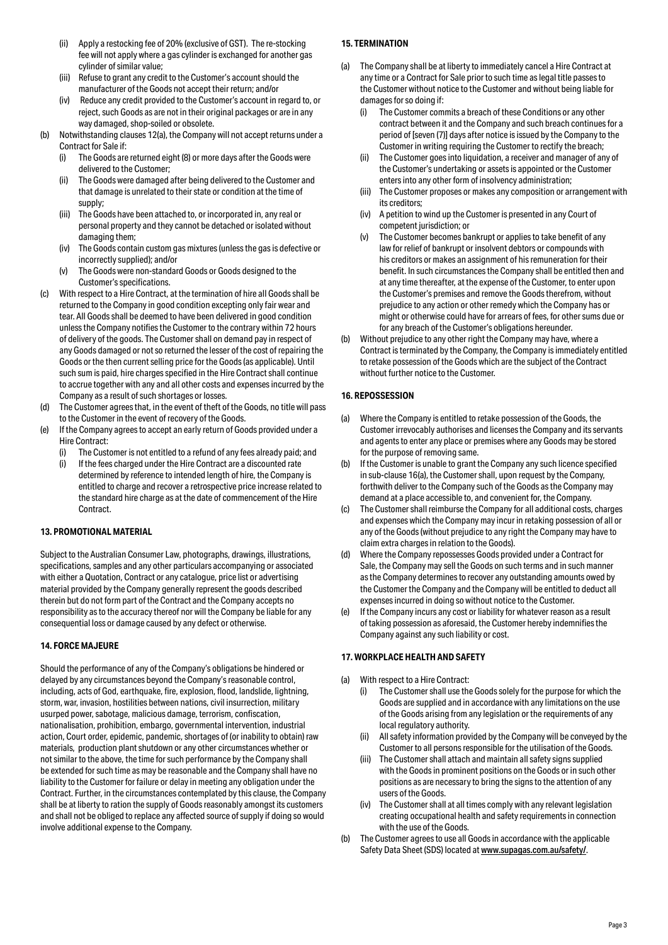- (ii) Apply a restocking fee of 20% (exclusive of GST). The re-stocking fee will not apply where a gas cylinder is exchanged for another gas cylinder of similar value;
- (iii) Refuse to grant any credit to the Customer's account should the manufacturer of the Goods not accept their return; and/or
- (iv) Reduce any credit provided to the Customer's account in regard to, or reject, such Goods as are not in their original packages or are in any way damaged, shop-soiled or obsolete.
- (b) Notwithstanding clauses 12(a), the Company will not accept returns under a Contract for Sale if:
	- (i) The Goods are returned eight (8) or more days after the Goods were delivered to the Customer;
	- (ii) The Goods were damaged after being delivered to the Customer and that damage is unrelated to their state or condition at the time of supply;
	- (iii) The Goods have been attached to, or incorporated in, any real or personal property and they cannot be detached or isolated without damaging them;
	- The Goods contain custom gas mixtures (unless the gas is defective or incorrectly supplied); and/or
	- (v) The Goods were non-standard Goods or Goods designed to the Customer's specifications.
- (c) With respect to a Hire Contract, at the termination of hire all Goods shall be returned to the Company in good condition excepting only fair wear and tear. All Goods shall be deemed to have been delivered in good condition unless the Company notifies the Customer to the contrary within 72 hours of delivery of the goods. The Customer shall on demand pay in respect of any Goods damaged or not so returned the lesser of the cost of repairing the Goods or the then current selling price for the Goods (as applicable). Until such sum is paid, hire charges specified in the Hire Contract shall continue to accrue together with any and all other costs and expenses incurred by the Company as a result of such shortages or losses.
- (d) The Customer agrees that, in the event of theft of the Goods, no title will pass to the Customer in the event of recovery of the Goods.
- (e) If the Company agrees to accept an early return of Goods provided under a Hire Contract:
	- The Customer is not entitled to a refund of any fees already paid; and
	- (i) If the fees charged under the Hire Contract are a discounted rate determined by reference to intended length of hire, the Company is entitled to charge and recover a retrospective price increase related to the standard hire charge as at the date of commencement of the Hire Contract.

## **13. PROMOTIONAL MATERIAL**

Subject to the Australian Consumer Law, photographs, drawings, illustrations, specifications, samples and any other particulars accompanying or associated with either a Quotation, Contract or any catalogue, price list or advertising material provided by the Company generally represent the goods described therein but do not form part of the Contract and the Company accepts no responsibility as to the accuracy thereof nor will the Company be liable for any consequential loss or damage caused by any defect or otherwise.

#### **14. FORCE MAJEURE**

Should the performance of any of the Company's obligations be hindered or delayed by any circumstances beyond the Company's reasonable control, including, acts of God, earthquake, fire, explosion, flood, landslide, lightning, storm, war, invasion, hostilities between nations, civil insurrection, military usurped power, sabotage, malicious damage, terrorism, confiscation, nationalisation, prohibition, embargo, governmental intervention, industrial action, Court order, epidemic, pandemic, shortages of (or inability to obtain) raw materials, production plant shutdown or any other circumstances whether or not similar to the above, the time for such performance by the Company shall be extended for such time as may be reasonable and the Company shall have no liability to the Customer for failure or delay in meeting any obligation under the Contract. Further, in the circumstances contemplated by this clause, the Company shall be at liberty to ration the supply of Goods reasonably amongst its customers and shall not be obliged to replace any affected source of supply if doing so would involve additional expense to the Company.

## **15. TERMINATION**

- (a) The Company shall be at liberty to immediately cancel a Hire Contract at any time or a Contract for Sale prior to such time as legal title passes to the Customer without notice to the Customer and without being liable for damages for so doing if:
	- (i) The Customer commits a breach of these Conditions or any other contract between it and the Company and such breach continues for a period of [seven (7)] days after notice is issued by the Company to the Customer in writing requiring the Customer to rectify the breach;
	- (ii) The Customer goes into liquidation, a receiver and manager of any of the Customer's undertaking or assets is appointed or the Customer enters into any other form of insolvency administration;
	- (iii) The Customer proposes or makes any composition or arrangement with its creditors;
	- (iv) A petition to wind up the Customer is presented in any Court of competent jurisdiction; or
	- (v) The Customer becomes bankrupt or applies to take benefit of any law for relief of bankrupt or insolvent debtors or compounds with his creditors or makes an assignment of his remuneration for their benefit. In such circumstances the Company shall be entitled then and at any time thereafter, at the expense of the Customer, to enter upon the Customer's premises and remove the Goods therefrom, without prejudice to any action or other remedy which the Company has or might or otherwise could have for arrears of fees, for other sums due or for any breach of the Customer's obligations hereunder.
- (b) Without prejudice to any other right the Company may have, where a Contract is terminated by the Company, the Company is immediately entitled to retake possession of the Goods which are the subject of the Contract without further notice to the Customer.

#### **16. REPOSSESSION**

- (a) Where the Company is entitled to retake possession of the Goods, the Customer irrevocably authorises and licenses the Company and its servants and agents to enter any place or premises where any Goods may be stored for the purpose of removing same.
- (b) If the Customer is unable to grant the Company any such licence specified in sub-clause 16(a), the Customer shall, upon request by the Company, forthwith deliver to the Company such of the Goods as the Company may demand at a place accessible to, and convenient for, the Company.
- (c) The Customer shall reimburse the Company for all additional costs, charges and expenses which the Company may incur in retaking possession of all or any of the Goods (without prejudice to any right the Company may have to claim extra charges in relation to the Goods).
- (d) Where the Company repossesses Goods provided under a Contract for Sale, the Company may sell the Goods on such terms and in such manner as the Company determines to recover any outstanding amounts owed by the Customer the Company and the Company will be entitled to deduct all expenses incurred in doing so without notice to the Customer.
- (e) If the Company incurs any cost or liability for whatever reason as a result of taking possession as aforesaid, the Customer hereby indemnifies the Company against any such liability or cost.

## **17. WORKPLACE HEALTH AND SAFETY**

- (a) With respect to a Hire Contract:
	- (i) The Customer shall use the Goods solely for the purpose for which the Goods are supplied and in accordance with any limitations on the use of the Goods arising from any legislation or the requirements of any local regulatory authority.
	- (ii) All safety information provided by the Company will be conveyed by the Customer to all persons responsible for the utilisation of the Goods.
	- (iii) The Customer shall attach and maintain all safety signs supplied with the Goods in prominent positions on the Goods or in such other positions as are necessary to bring the signs to the attention of any users of the Goods.
	- (iv) The Customer shall at all times comply with any relevant legislation creating occupational health and safety requirements in connection with the use of the Goods.
- (b) The Customer agrees to use all Goods in accordance with the applicable Safety Data Sheet (SDS) located at www.supagas.com.au/safety/.